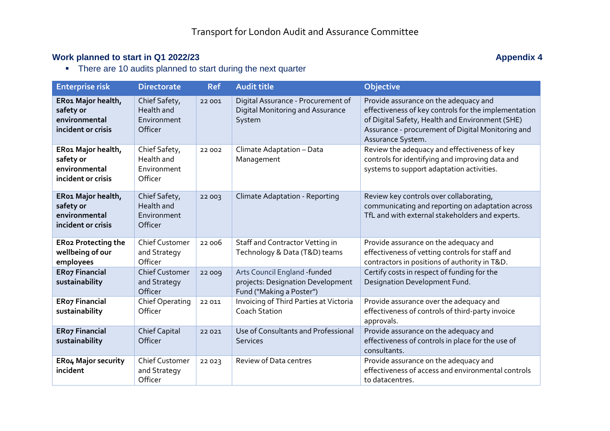## **Work planned to start in Q1 2022/23 Appendix 4 Appendix 4 Appendix 4 Appendix 4 Appendix 4**

• There are 10 audits planned to start during the next quarter

| <b>Enterprise risk</b>                                                 | <b>Directorate</b>                                    | <b>Ref</b> | <b>Audit title</b>                                                                            | Objective                                                                                                                                                                                                                  |
|------------------------------------------------------------------------|-------------------------------------------------------|------------|-----------------------------------------------------------------------------------------------|----------------------------------------------------------------------------------------------------------------------------------------------------------------------------------------------------------------------------|
| ER01 Major health,<br>safety or<br>environmental<br>incident or crisis | Chief Safety,<br>Health and<br>Environment<br>Officer | 22 001     | Digital Assurance - Procurement of<br>Digital Monitoring and Assurance<br>System              | Provide assurance on the adequacy and<br>effectiveness of key controls for the implementation<br>of Digital Safety, Health and Environment (SHE)<br>Assurance - procurement of Digital Monitoring and<br>Assurance System. |
| ER01 Major health,<br>safety or<br>environmental<br>incident or crisis | Chief Safety,<br>Health and<br>Environment<br>Officer | 22 002     | Climate Adaptation - Data<br>Management                                                       | Review the adequacy and effectiveness of key<br>controls for identifying and improving data and<br>systems to support adaptation activities.                                                                               |
| ER01 Major health,<br>safety or<br>environmental<br>incident or crisis | Chief Safety,<br>Health and<br>Environment<br>Officer | 22003      | <b>Climate Adaptation - Reporting</b>                                                         | Review key controls over collaborating,<br>communicating and reporting on adaptation across<br>TfL and with external stakeholders and experts.                                                                             |
| <b>ERo2 Protecting the</b><br>wellbeing of our<br>employees            | <b>Chief Customer</b><br>and Strategy<br>Officer      | 22006      | Staff and Contractor Vetting in<br>Technology & Data (T&D) teams                              | Provide assurance on the adequacy and<br>effectiveness of vetting controls for staff and<br>contractors in positions of authority in T&D.                                                                                  |
| <b>ERo7 Financial</b><br>sustainability                                | <b>Chief Customer</b><br>and Strategy<br>Officer      | 22009      | Arts Council England -funded<br>projects: Designation Development<br>Fund ("Making a Poster") | Certify costs in respect of funding for the<br>Designation Development Fund.                                                                                                                                               |
| <b>ERo7 Financial</b><br>sustainability                                | Chief Operating<br>Officer                            | 22 011     | <b>Invoicing of Third Parties at Victoria</b><br><b>Coach Station</b>                         | Provide assurance over the adequacy and<br>effectiveness of controls of third-party invoice<br>approvals.                                                                                                                  |
| <b>ERo7 Financial</b><br>sustainability                                | <b>Chief Capital</b><br>Officer                       | 22021      | Use of Consultants and Professional<br><b>Services</b>                                        | Provide assurance on the adequacy and<br>effectiveness of controls in place for the use of<br>consultants.                                                                                                                 |
| <b>ERo4 Major security</b><br>incident                                 | <b>Chief Customer</b><br>and Strategy<br>Officer      | 22023      | Review of Data centres                                                                        | Provide assurance on the adequacy and<br>effectiveness of access and environmental controls<br>to datacentres.                                                                                                             |